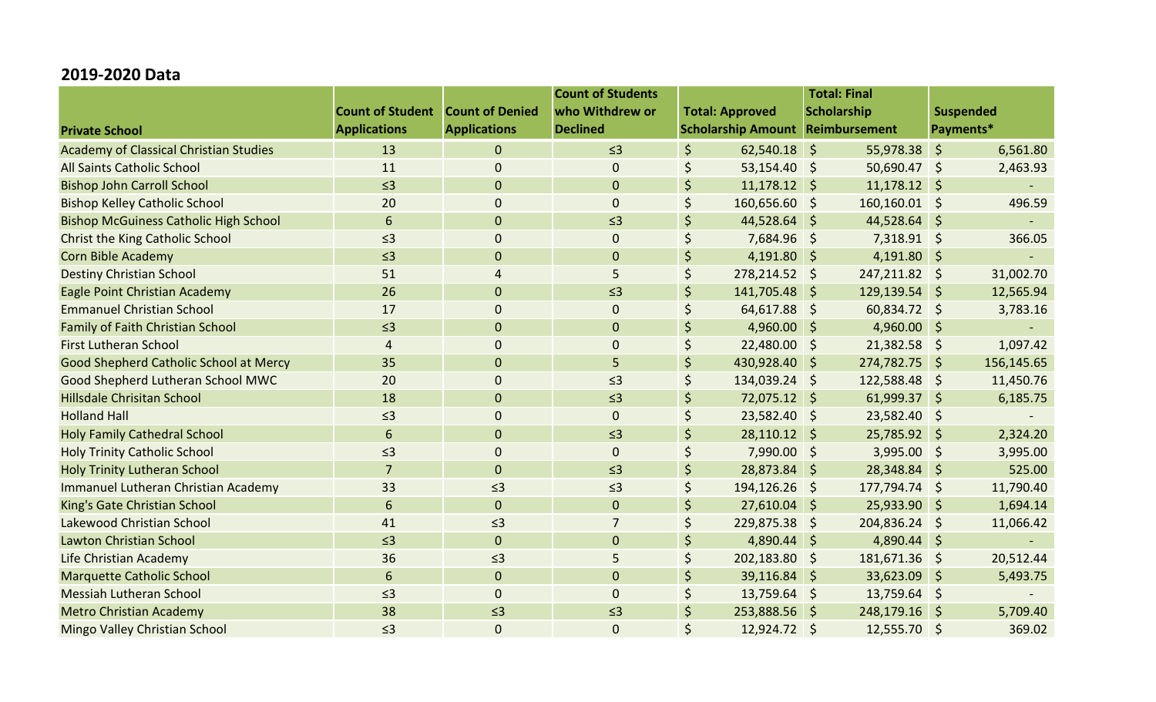## **2019-2020 Data**

|                                               |                                         |                     | <b>Count of Students</b> | <b>Total: Final</b> |                        |                                         |                  |              |            |
|-----------------------------------------------|-----------------------------------------|---------------------|--------------------------|---------------------|------------------------|-----------------------------------------|------------------|--------------|------------|
|                                               | <b>Count of Student Count of Denied</b> |                     | who Withdrew or          |                     | <b>Total: Approved</b> | <b>Scholarship</b>                      |                  | Suspended    |            |
| <b>Private School</b>                         | <b>Applications</b>                     | <b>Applications</b> | <b>Declined</b>          |                     |                        | <b>Scholarship Amount Reimbursement</b> |                  | Payments*    |            |
| <b>Academy of Classical Christian Studies</b> | 13                                      | $\overline{0}$      | $\leq$ 3                 | $\zeta$             | $62,540.18$ \$         |                                         | 55,978.38        | $\varsigma$  | 6,561.80   |
| All Saints Catholic School                    | 11                                      | 0                   | $\mathbf{0}$             | \$                  | 53,154.40 \$           |                                         | $50,690.47$ \$   |              | 2,463.93   |
| <b>Bishop John Carroll School</b>             | $\leq$ 3                                | $\overline{0}$      | $\mathbf{0}$             | $\dot{\mathsf{S}}$  | $11,178.12$ \$         |                                         | $11,178.12$ \$   |              |            |
| <b>Bishop Kelley Catholic School</b>          | 20                                      | 0                   | $\mathbf 0$              | $\zeta$             | 160,656.60 \$          |                                         | $160, 160.01$ \$ |              | 496.59     |
| <b>Bishop McGuiness Catholic High School</b>  | 6                                       | $\mathbf{0}$        | $\leq$ 3                 | Ś                   | 44,528.64 \$           |                                         | 44,528.64        | $\zeta$      | $\sim$ .   |
| <b>Christ the King Catholic School</b>        | $\leq$ 3                                | 0                   | $\mathbf 0$              | \$                  | 7,684.96 \$            |                                         | $7,318.91$ \$    |              | 366.05     |
| <b>Corn Bible Academy</b>                     | $\leq$ 3                                | 0                   | $\mathbf{0}$             | \$                  | $4,191.80$ \$          |                                         | $4,191.80$ \$    |              |            |
| <b>Destiny Christian School</b>               | 51                                      | 4                   | 5                        | \$                  | 278,214.52 \$          |                                         | 247,211.82 \$    |              | 31,002.70  |
| Eagle Point Christian Academy                 | 26                                      | $\mathbf{0}$        | $\leq$ 3                 | $\zeta$             | 141,705.48 \$          |                                         | 129,139.54 \$    |              | 12,565.94  |
| <b>Emmanuel Christian School</b>              | 17                                      | $\mathbf 0$         | $\mathbf 0$              | Ś                   | 64,617.88 \$           |                                         | 60,834.72 \$     |              | 3,783.16   |
| <b>Family of Faith Christian School</b>       | $\leq$ 3                                | $\mathbf 0$         | $\overline{0}$           |                     | $4,960.00$ \$          |                                         | $4,960.00$ \$    |              |            |
| <b>First Lutheran School</b>                  | 4                                       | 0                   | $\mathbf 0$              | \$                  | 22,480.00 \$           |                                         | $21,382.58$ \$   |              | 1,097.42   |
| Good Shepherd Catholic School at Mercy        | 35                                      | $\mathbf 0$         | 5                        | \$                  | 430,928.40 \$          |                                         | 274,782.75 \$    |              | 156,145.65 |
| Good Shepherd Lutheran School MWC             | 20                                      | 0                   | $\leq$ 3                 | $\zeta$             | 134,039.24 \$          |                                         | 122,588.48       | $\zeta$      | 11,450.76  |
| <b>Hillsdale Chrisitan School</b>             | 18                                      | $\mathbf{0}$        | $\leq$ 3                 | $\zeta$             | 72,075.12 \$           |                                         | $61,999.37$ \$   |              | 6,185.75   |
| <b>Holland Hall</b>                           | $\leq$ 3                                | 0                   | $\mathbf 0$              | \$                  | 23,582.40 \$           |                                         | 23,582.40        | $\mathsf{S}$ |            |
| <b>Holy Family Cathedral School</b>           | 6                                       | $\overline{0}$      | $\leq$ 3                 | $\zeta$             | $28,110.12$ \$         |                                         | 25,785.92 \$     |              | 2,324.20   |
| <b>Holy Trinity Catholic School</b>           | $\leq$ 3                                | 0                   | $\boldsymbol{0}$         | \$                  | 7,990.00 \$            |                                         | $3,995.00$ \$    |              | 3,995.00   |
| <b>Holy Trinity Lutheran School</b>           | 7                                       | $\mathbf 0$         | $\leq$ 3                 | \$                  | 28,873.84 \$           |                                         | 28,348.84        | $\vert$ \$   | 525.00     |
| <b>Immanuel Lutheran Christian Academy</b>    | 33                                      | $\leq$ 3            | $\leq$ 3                 | \$                  | 194,126.26 \$          |                                         | 177,794.74 \$    |              | 11,790.40  |
| King's Gate Christian School                  | 6                                       | $\mathbf 0$         | $\overline{0}$           | $\zeta$             | $27,610.04$ \$         |                                         | 25,933.90 \$     |              | 1,694.14   |
| Lakewood Christian School                     | 41                                      | $\leq$ 3            |                          | \$                  | 229,875.38 \$          |                                         | 204,836.24       | \$           | 11,066.42  |
| <b>Lawton Christian School</b>                | $\leq$ 3                                | $\mathbf 0$         | $\overline{0}$           | \$                  | 4,890.44 \$            |                                         | 4,890.44 \$      |              |            |
| Life Christian Academy                        | 36                                      | $\leq$ 3            | 5                        | $\zeta$             | 202,183.80 \$          |                                         | 181,671.36       | $\varsigma$  | 20,512.44  |
| <b>Marquette Catholic School</b>              | 6                                       | $\mathbf{0}$        | $\mathbf{0}$             | Ś                   | 39,116.84 \$           |                                         | 33,623.09        | $\zeta$      | 5,493.75   |
| <b>Messiah Lutheran School</b>                | $\leq$ 3                                | $\mathbf 0$         | 0                        | \$                  | $13,759.64$ \$         |                                         | 13,759.64        | $\zeta$      |            |
| <b>Metro Christian Academy</b>                | 38                                      | $\leq$ 3            | $\leq$ 3                 | $\zeta$             | 253,888.56 \$          |                                         | 248,179.16 \$    |              | 5,709.40   |
| Mingo Valley Christian School                 | $\leq$ 3                                | $\mathbf 0$         | $\overline{0}$           | Ś                   | 12,924.72 \$           |                                         | 12,555.70 \$     |              | 369.02     |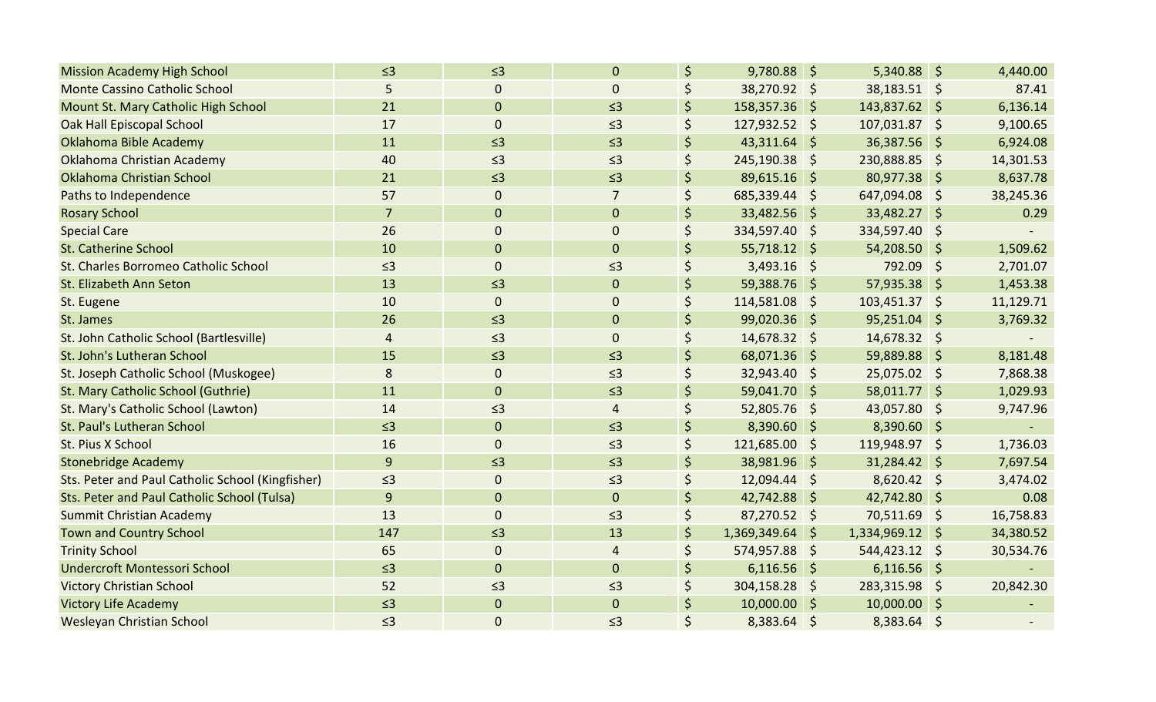| <b>Mission Academy High School</b>               | $\leq$ 3       | $\leq$ 3         | $\mathbf{0}$   | \$                 | $9,780.88$ \$   | $5,340.88$ \$   |      | 4,440.00  |
|--------------------------------------------------|----------------|------------------|----------------|--------------------|-----------------|-----------------|------|-----------|
| <b>Monte Cassino Catholic School</b>             | 5              | $\overline{0}$   | $\mathbf{0}$   | Ś                  | 38,270.92 \$    | 38,183.51 \$    |      | 87.41     |
| Mount St. Mary Catholic High School              | 21             | $\overline{0}$   | $\leq$ 3       | \$                 | 158,357.36 \$   | 143,837.62 \$   |      | 6,136.14  |
| Oak Hall Episcopal School                        | 17             | $\pmb{0}$        | $\leq$ 3       | \$                 | 127,932.52 \$   | 107,031.87 \$   |      | 9,100.65  |
| Oklahoma Bible Academy                           | 11             | $\leq$ 3         | $\leq$ 3       | \$                 | 43,311.64 \$    | 36,387.56 \$    |      | 6,924.08  |
| Oklahoma Christian Academy                       | 40             | $\leq$ 3         | $\leq$ 3       | \$                 | 245,190.38 \$   | 230,888.85 \$   |      | 14,301.53 |
| Oklahoma Christian School                        | 21             | $\leq$ 3         | $\leq$ 3       | \$                 | $89,615.16$ \$  | 80,977.38 \$    |      | 8,637.78  |
| Paths to Independence                            | 57             | $\mathbf 0$      | $\overline{7}$ | \$                 | 685,339.44 \$   | 647,094.08 \$   |      | 38,245.36 |
| <b>Rosary School</b>                             | $\overline{7}$ | $\mathbf 0$      | $\mathbf 0$    |                    | 33,482.56 \$    | 33,482.27 \$    |      | 0.29      |
| <b>Special Care</b>                              | 26             | 0                | $\mathbf 0$    | \$                 | 334,597.40 \$   | 334,597.40      | \$   |           |
| <b>St. Catherine School</b>                      | 10             | $\mathbf 0$      | $\mathbf{0}$   | $\zeta$            | $55,718.12$ \$  | $54,208.50$ \$  |      | 1,509.62  |
| St. Charles Borromeo Catholic School             | $\leq$ 3       | $\mathbf 0$      | $\leq$ 3       | \$                 | $3,493.16$ \$   | 792.09          | - \$ | 2,701.07  |
| St. Elizabeth Ann Seton                          | 13             | $\leq$ 3         | $\mathbf{0}$   | \$                 | 59,388.76 \$    | $57,935.38$ \$  |      | 1,453.38  |
| St. Eugene                                       | 10             | $\mathbf 0$      | $\mathbf 0$    | \$                 | 114,581.08 \$   | 103,451.37 \$   |      | 11,129.71 |
| St. James                                        | 26             | $\leq$ 3         | $\mathbf 0$    |                    | 99,020.36 \$    | $95,251.04$ \$  |      | 3,769.32  |
| St. John Catholic School (Bartlesville)          | 4              | $\leq$ 3         | $\mathbf{0}$   | Ś                  | 14,678.32 \$    | 14,678.32 \$    |      |           |
| St. John's Lutheran School                       | 15             | $\leq$ 3         | $\leq$ 3       | \$                 | 68,071.36 \$    | 59,889.88 \$    |      | 8,181.48  |
| St. Joseph Catholic School (Muskogee)            | 8              | $\pmb{0}$        | $\leq$ 3       | \$                 | $32,943.40$ \$  | 25,075.02 \$    |      | 7,868.38  |
| St. Mary Catholic School (Guthrie)               | 11             | $\overline{0}$   | $\leq$ 3       | \$                 | 59,041.70 \$    | $58,011.77$ \$  |      | 1,029.93  |
| St. Mary's Catholic School (Lawton)              | 14             | $\leq$ 3         | $\overline{4}$ | \$                 | $52,805.76$ \$  | 43,057.80 \$    |      | 9,747.96  |
| St. Paul's Lutheran School                       | $\leq$ 3       | $\boldsymbol{0}$ | $\leq$ 3       | \$                 | 8,390.60 \$     | $8,390.60$ \$   |      |           |
| St. Pius X School                                | 16             | $\pmb{0}$        | $\leq$ 3       | \$                 | 121,685.00 \$   | 119,948.97 \$   |      | 1,736.03  |
| <b>Stonebridge Academy</b>                       | 9              | $\leq$ 3         | $\leq$ 3       | \$                 | 38,981.96 \$    | $31,284.42$ \$  |      | 7,697.54  |
| Sts. Peter and Paul Catholic School (Kingfisher) | $\leq$ 3       | $\mathbf 0$      | $\leq$ 3       | \$                 | 12,094.44 \$    | $8,620.42$ \$   |      | 3,474.02  |
| Sts. Peter and Paul Catholic School (Tulsa)      | 9              | $\mathbf{0}$     | $\mathbf{0}$   | \$                 | 42,742.88 \$    | 42,742.80 \$    |      | 0.08      |
| Summit Christian Academy                         | 13             | $\mathbf 0$      | $\leq$ 3       | \$                 | $87,270.52$ \$  | 70,511.69 \$    |      | 16,758.83 |
| <b>Town and Country School</b>                   | 147            | $\leq$ 3         | 13             | $\zeta$            | 1,369,349.64 \$ | 1,334,969.12 \$ |      | 34,380.52 |
| <b>Trinity School</b>                            | 65             | 0                | 4              | \$                 | 574,957.88 \$   | 544,423.12 \$   |      | 30,534.76 |
| Undercroft Montessori School                     | $\leq$ 3       | $\overline{0}$   | $\mathbf 0$    | \$                 | $6,116.56$ \$   | $6,116.56$ \$   |      |           |
| <b>Victory Christian School</b>                  | 52             | $\leq$ 3         | $\leq$ 3       | \$                 | 304,158.28 \$   | 283,315.98      | -\$  | 20,842.30 |
| <b>Victory Life Academy</b>                      | $\leq$ 3       | $\mathbf{0}$     | $\mathbf{0}$   | $\zeta$            | $10,000.00$ \$  | $10,000.00$ \$  |      |           |
| Wesleyan Christian School                        | $\leq$ 3       | $\mathbf 0$      | $\leq$ 3       | $\mathsf{\dot{S}}$ | 8,383.64 \$     | $8,383.64$ \$   |      |           |